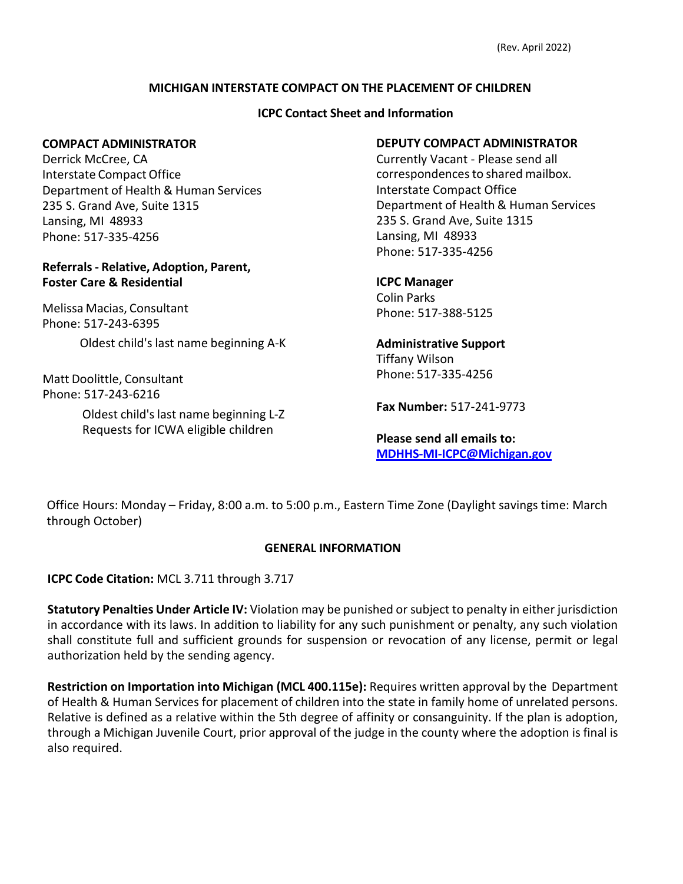# **MICHIGAN INTERSTATE COMPACT ON THE PLACEMENT OF CHILDREN**

### **ICPC Contact Sheet and Information**

#### **COMPACT ADMINISTRATOR**

Derrick McCree, CA Interstate CompactOffice Department of Health & Human Services 235 S. Grand Ave, Suite 1315 Lansing, MI 48933 Phone: 517-335-4256

### **Referrals - Relative, Adoption, Parent, Foster Care & Residential**

Melissa Macias, Consultant Phone: 517-243-6395

Oldest child's last name beginning A-K

Matt Doolittle, Consultant Phone: 517-243-6216

> Oldest child'slast name beginning L-Z Requests for ICWA eligible children

# **DEPUTY COMPACT ADMINISTRATOR**

Currently Vacant - Please send all correspondences to shared mailbox. Interstate Compact Office Department of Health & Human Services 235 S. Grand Ave, Suite 1315 Lansing, MI 48933 Phone: 517-335-4256

**ICPC Manager** Colin Parks Phone: 517-388-5125

**Administrative Support** Tiffany Wilson Phone: [517-335-4256](mailto:MDHHS-Mi-ICPC@Michigan.gov)

**Fax Number:** 517-241-9773

**Please send all emails to: [MDHHS-MI-ICPC@Michigan.gov](mailto:MDHHS-MI-ICPC@Michigan.gov)**

Office Hours: Monday – Friday, 8:00 a.m. to 5:00 p.m., Eastern Time Zone (Daylight savings time: March through October)

### **GENERAL INFORMATION**

**ICPC Code Citation:** MCL 3.711 through 3.717

**Statutory Penalties Under Article IV:** Violation may be punished or subject to penalty in either jurisdiction in accordance with its laws. In addition to liability for any such punishment or penalty, any such violation shall constitute full and sufficient grounds for suspension or revocation of any license, permit or legal authorization held by the sending agency.

**Restriction on Importation into Michigan (MCL 400.115e):** Requires written approval by the Department of Health & Human Services for placement of children into the state in family home of unrelated persons. Relative is defined as a relative within the 5th degree of affinity or consanguinity. If the plan is adoption, through a Michigan Juvenile Court, prior approval of the judge in the county where the adoption is final is also required.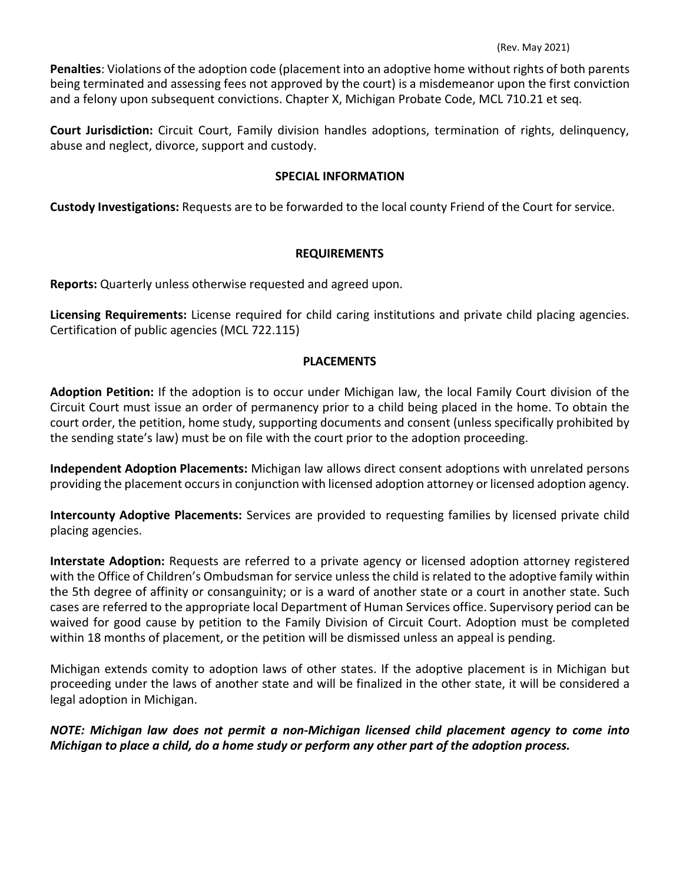**Penalties**: Violations of the adoption code (placement into an adoptive home without rights of both parents being terminated and assessing fees not approved by the court) is a misdemeanor upon the first conviction and a felony upon subsequent convictions. Chapter X, Michigan Probate Code, MCL 710.21 et seq.

**Court Jurisdiction:** Circuit Court, Family division handles adoptions, termination of rights, delinquency, abuse and neglect, divorce, support and custody.

### **SPECIAL INFORMATION**

**Custody Investigations:** Requests are to be forwarded to the local county Friend of the Court for service.

# **REQUIREMENTS**

**Reports:** Quarterly unless otherwise requested and agreed upon.

**Licensing Requirements:** License required for child caring institutions and private child placing agencies. Certification of public agencies (MCL 722.115)

# **PLACEMENTS**

**Adoption Petition:** If the adoption is to occur under Michigan law, the local Family Court division of the Circuit Court must issue an order of permanency prior to a child being placed in the home. To obtain the court order, the petition, home study, supporting documents and consent (unless specifically prohibited by the sending state's law) must be on file with the court prior to the adoption proceeding.

**Independent Adoption Placements:** Michigan law allows direct consent adoptions with unrelated persons providing the placement occurs in conjunction with licensed adoption attorney or licensed adoption agency.

**Intercounty Adoptive Placements:** Services are provided to requesting families by licensed private child placing agencies.

**Interstate Adoption:** Requests are referred to a private agency or licensed adoption attorney registered with the Office of Children's Ombudsman for service unless the child is related to the adoptive family within the 5th degree of affinity or consanguinity; or is a ward of another state or a court in another state. Such cases are referred to the appropriate local Department of Human Services office. Supervisory period can be waived for good cause by petition to the Family Division of Circuit Court. Adoption must be completed within 18 months of placement, or the petition will be dismissed unless an appeal is pending.

Michigan extends comity to adoption laws of other states. If the adoptive placement is in Michigan but proceeding under the laws of another state and will be finalized in the other state, it will be considered a legal adoption in Michigan.

*NOTE: Michigan law does not permit a non-Michigan licensed child placement agency to come into Michigan to place a child, do a home study or perform any other part of the adoption process.*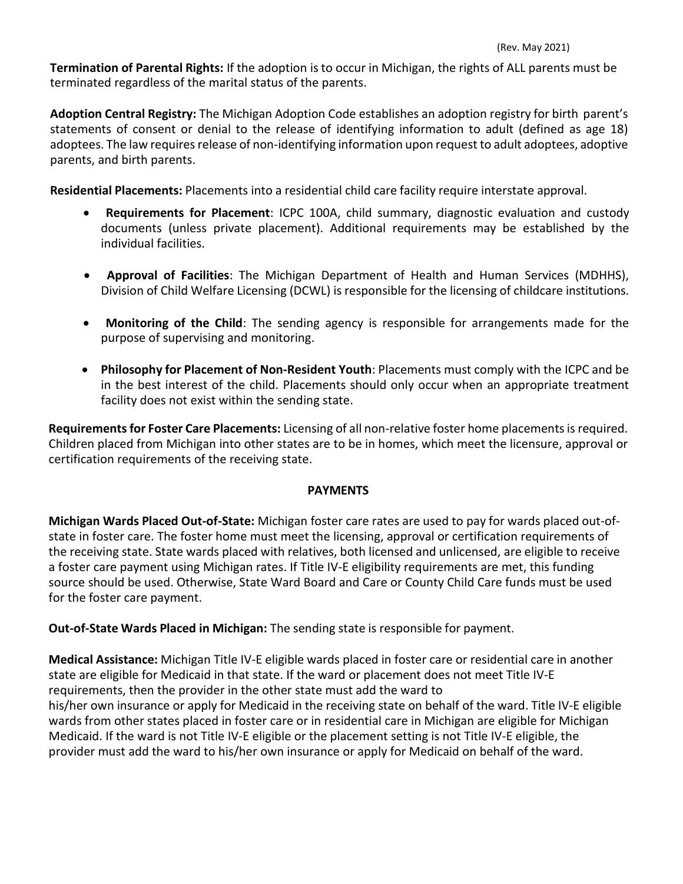**Termination of Parental Rights:** If the adoption is to occur in Michigan, the rights of ALL parents must be terminated regardless of the marital status of the parents.

**Adoption Central Registry:** The Michigan Adoption Code establishes an adoption registry for birth parent's statements of consent or denial to the release of identifying information to adult (defined as age 18) adoptees. The law requires release of non-identifying information upon request to adult adoptees, adoptive parents, and birth parents.

**Residential Placements:** Placements into a residential child care facility require interstate approval.

- **Requirements for Placement**: ICPC 100A, child summary, diagnostic evaluation and custody documents (unless private placement). Additional requirements may be established by the individual facilities.
- **Approval of Facilities**: The Michigan Department of Health and Human Services (MDHHS), Division of Child Welfare Licensing (DCWL) is responsible for the licensing of childcare institutions.
- **Monitoring of the Child**: The sending agency is responsible for arrangements made for the purpose of supervising and monitoring.
- **Philosophy for Placement of Non-Resident Youth**: Placements must comply with the ICPC and be in the best interest of the child. Placements should only occur when an appropriate treatment facility does not exist within the sending state.

**Requirements for Foster Care Placements:** Licensing of all non-relative foster home placements is required. Children placed from Michigan into other states are to be in homes, which meet the licensure, approval or certification requirements of the receiving state.

### **PAYMENTS**

**Michigan Wards Placed Out-of-State:** Michigan foster care rates are used to pay for wards placed out-ofstate in foster care. The foster home must meet the licensing, approval or certification requirements of the receiving state. State wards placed with relatives, both licensed and unlicensed, are eligible to receive a foster care payment using Michigan rates. If Title IV-E eligibility requirements are met, this funding source should be used. Otherwise, State Ward Board and Care or County Child Care funds must be used for the foster care payment.

**Out-of-State Wards Placed in Michigan:** The sending state is responsible for payment.

**Medical Assistance:** Michigan Title IV-E eligible wards placed in foster care or residential care in another state are eligible for Medicaid in that state. If the ward or placement does not meet Title IV-E requirements, then the provider in the other state must add the ward to his/her own insurance or apply for Medicaid in the receiving state on behalf of the ward. Title IV-E eligible wards from other states placed in foster care or in residential care in Michigan are eligible for Michigan Medicaid. If the ward is not Title IV-E eligible or the placement setting is not Title IV-E eligible, the provider must add the ward to his/her own insurance or apply for Medicaid on behalf of the ward.